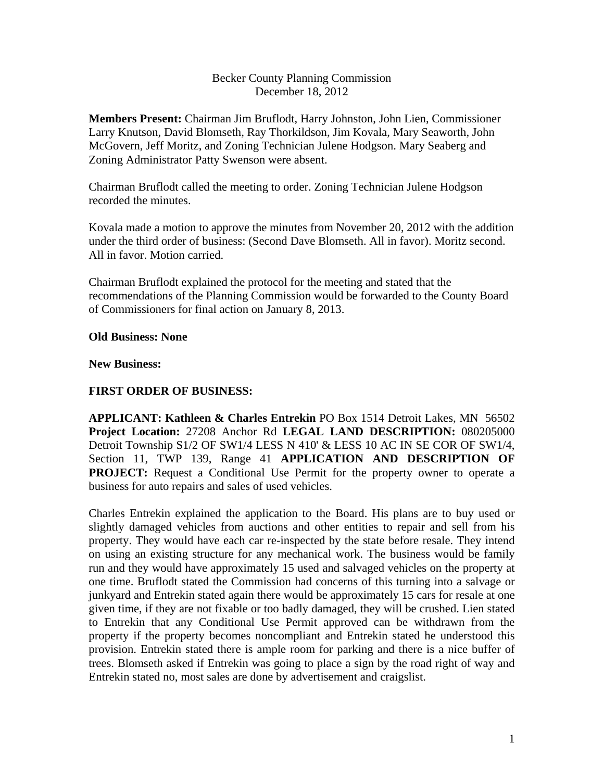## Becker County Planning Commission December 18, 2012

**Members Present:** Chairman Jim Bruflodt, Harry Johnston, John Lien, Commissioner Larry Knutson, David Blomseth, Ray Thorkildson, Jim Kovala, Mary Seaworth, John McGovern, Jeff Moritz, and Zoning Technician Julene Hodgson. Mary Seaberg and Zoning Administrator Patty Swenson were absent.

Chairman Bruflodt called the meeting to order. Zoning Technician Julene Hodgson recorded the minutes.

Kovala made a motion to approve the minutes from November 20, 2012 with the addition under the third order of business: (Second Dave Blomseth. All in favor). Moritz second. All in favor. Motion carried.

Chairman Bruflodt explained the protocol for the meeting and stated that the recommendations of the Planning Commission would be forwarded to the County Board of Commissioners for final action on January 8, 2013.

## **Old Business: None**

## **New Business:**

# **FIRST ORDER OF BUSINESS:**

**APPLICANT: Kathleen & Charles Entrekin** PO Box 1514 Detroit Lakes, MN 56502 **Project Location:** 27208 Anchor Rd **LEGAL LAND DESCRIPTION:** 080205000 Detroit Township S1/2 OF SW1/4 LESS N 410' & LESS 10 AC IN SE COR OF SW1/4, Section 11, TWP 139, Range 41 **APPLICATION AND DESCRIPTION OF PROJECT:** Request a Conditional Use Permit for the property owner to operate a business for auto repairs and sales of used vehicles.

Charles Entrekin explained the application to the Board. His plans are to buy used or slightly damaged vehicles from auctions and other entities to repair and sell from his property. They would have each car re-inspected by the state before resale. They intend on using an existing structure for any mechanical work. The business would be family run and they would have approximately 15 used and salvaged vehicles on the property at one time. Bruflodt stated the Commission had concerns of this turning into a salvage or junkyard and Entrekin stated again there would be approximately 15 cars for resale at one given time, if they are not fixable or too badly damaged, they will be crushed. Lien stated to Entrekin that any Conditional Use Permit approved can be withdrawn from the property if the property becomes noncompliant and Entrekin stated he understood this provision. Entrekin stated there is ample room for parking and there is a nice buffer of trees. Blomseth asked if Entrekin was going to place a sign by the road right of way and Entrekin stated no, most sales are done by advertisement and craigslist.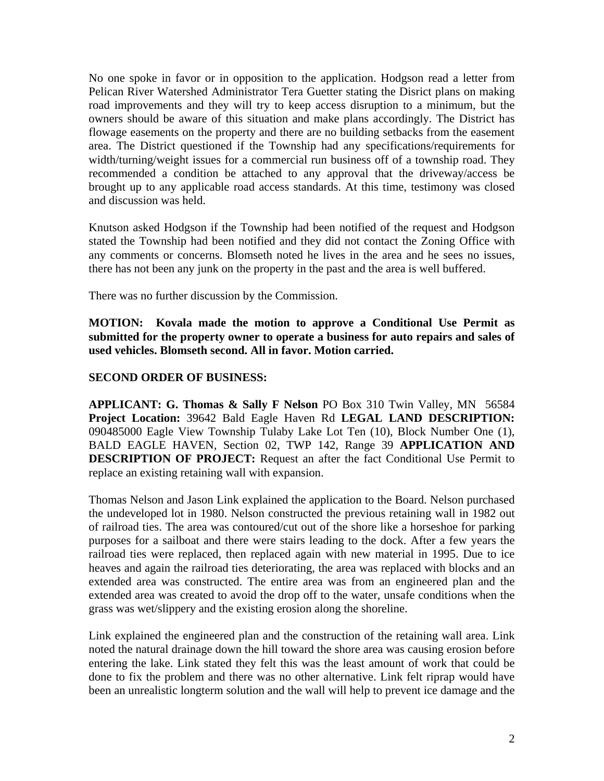No one spoke in favor or in opposition to the application. Hodgson read a letter from Pelican River Watershed Administrator Tera Guetter stating the Disrict plans on making road improvements and they will try to keep access disruption to a minimum, but the owners should be aware of this situation and make plans accordingly. The District has flowage easements on the property and there are no building setbacks from the easement area. The District questioned if the Township had any specifications/requirements for width/turning/weight issues for a commercial run business off of a township road. They recommended a condition be attached to any approval that the driveway/access be brought up to any applicable road access standards. At this time, testimony was closed and discussion was held.

Knutson asked Hodgson if the Township had been notified of the request and Hodgson stated the Township had been notified and they did not contact the Zoning Office with any comments or concerns. Blomseth noted he lives in the area and he sees no issues, there has not been any junk on the property in the past and the area is well buffered.

There was no further discussion by the Commission.

**MOTION: Kovala made the motion to approve a Conditional Use Permit as submitted for the property owner to operate a business for auto repairs and sales of used vehicles. Blomseth second. All in favor. Motion carried.** 

## **SECOND ORDER OF BUSINESS:**

**APPLICANT: G. Thomas & Sally F Nelson** PO Box 310 Twin Valley, MN 56584 **Project Location:** 39642 Bald Eagle Haven Rd **LEGAL LAND DESCRIPTION:** 090485000 Eagle View Township Tulaby Lake Lot Ten (10), Block Number One (1), BALD EAGLE HAVEN, Section 02, TWP 142, Range 39 **APPLICATION AND DESCRIPTION OF PROJECT:** Request an after the fact Conditional Use Permit to replace an existing retaining wall with expansion.

Thomas Nelson and Jason Link explained the application to the Board. Nelson purchased the undeveloped lot in 1980. Nelson constructed the previous retaining wall in 1982 out of railroad ties. The area was contoured/cut out of the shore like a horseshoe for parking purposes for a sailboat and there were stairs leading to the dock. After a few years the railroad ties were replaced, then replaced again with new material in 1995. Due to ice heaves and again the railroad ties deteriorating, the area was replaced with blocks and an extended area was constructed. The entire area was from an engineered plan and the extended area was created to avoid the drop off to the water, unsafe conditions when the grass was wet/slippery and the existing erosion along the shoreline.

Link explained the engineered plan and the construction of the retaining wall area. Link noted the natural drainage down the hill toward the shore area was causing erosion before entering the lake. Link stated they felt this was the least amount of work that could be done to fix the problem and there was no other alternative. Link felt riprap would have been an unrealistic longterm solution and the wall will help to prevent ice damage and the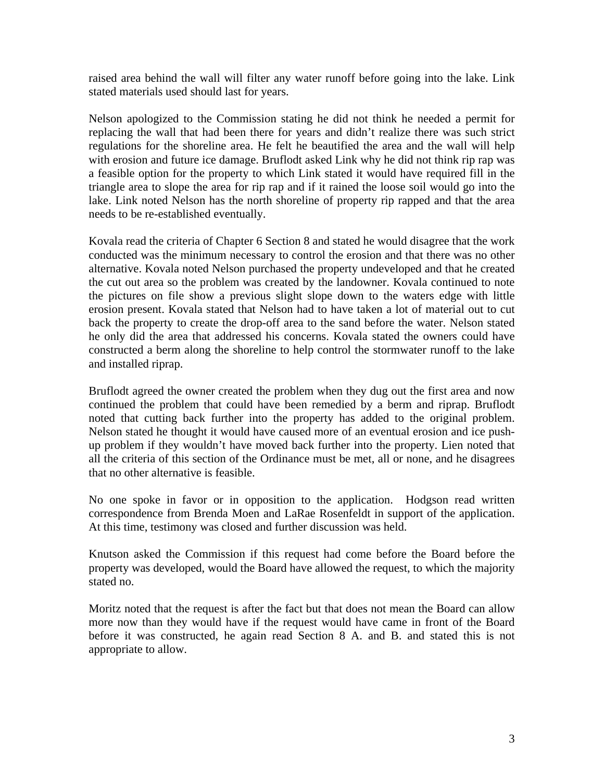raised area behind the wall will filter any water runoff before going into the lake. Link stated materials used should last for years.

Nelson apologized to the Commission stating he did not think he needed a permit for replacing the wall that had been there for years and didn't realize there was such strict regulations for the shoreline area. He felt he beautified the area and the wall will help with erosion and future ice damage. Bruflodt asked Link why he did not think rip rap was a feasible option for the property to which Link stated it would have required fill in the triangle area to slope the area for rip rap and if it rained the loose soil would go into the lake. Link noted Nelson has the north shoreline of property rip rapped and that the area needs to be re-established eventually.

Kovala read the criteria of Chapter 6 Section 8 and stated he would disagree that the work conducted was the minimum necessary to control the erosion and that there was no other alternative. Kovala noted Nelson purchased the property undeveloped and that he created the cut out area so the problem was created by the landowner. Kovala continued to note the pictures on file show a previous slight slope down to the waters edge with little erosion present. Kovala stated that Nelson had to have taken a lot of material out to cut back the property to create the drop-off area to the sand before the water. Nelson stated he only did the area that addressed his concerns. Kovala stated the owners could have constructed a berm along the shoreline to help control the stormwater runoff to the lake and installed riprap.

Bruflodt agreed the owner created the problem when they dug out the first area and now continued the problem that could have been remedied by a berm and riprap. Bruflodt noted that cutting back further into the property has added to the original problem. Nelson stated he thought it would have caused more of an eventual erosion and ice pushup problem if they wouldn't have moved back further into the property. Lien noted that all the criteria of this section of the Ordinance must be met, all or none, and he disagrees that no other alternative is feasible.

No one spoke in favor or in opposition to the application. Hodgson read written correspondence from Brenda Moen and LaRae Rosenfeldt in support of the application. At this time, testimony was closed and further discussion was held.

Knutson asked the Commission if this request had come before the Board before the property was developed, would the Board have allowed the request, to which the majority stated no.

Moritz noted that the request is after the fact but that does not mean the Board can allow more now than they would have if the request would have came in front of the Board before it was constructed, he again read Section 8 A. and B. and stated this is not appropriate to allow.